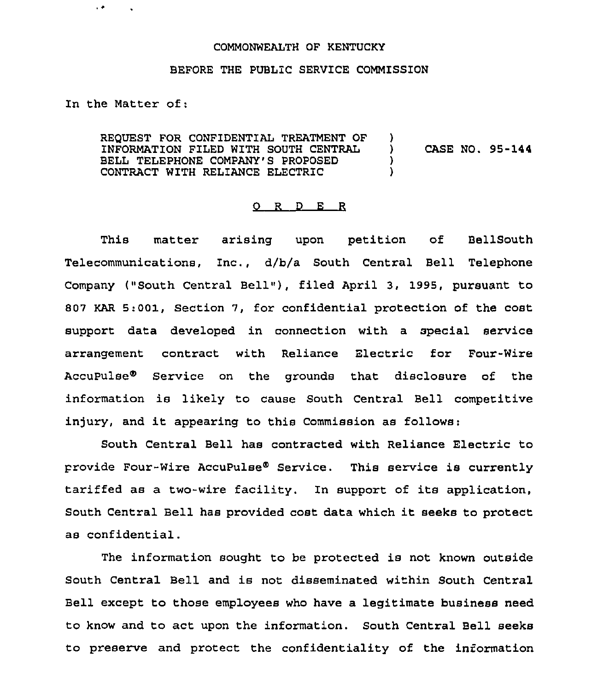## COMMONWEALTH OF KENTUCKY

## BEFORE THE PUBLiC SERVICE COMMISSION

In the Matter of:

 $\overline{a}$ 

REQUEST FOR CONFIDENTIAL TREATMENT OF INFORMATION FILED WITH SOUTH CENTRAL BELL TELEPHONE COMPANY'S PROPOSED CONTRACT WITH RELIANCE ELECTRIC )<br>) ) CASE NO. 95-144 ) )

## 0 R <sup>D</sup> <sup>E</sup> <sup>R</sup>

This matter arising upon petition of BellSouth Telecommunications, Znc., d/b/a South Central Bell Telephone Company ("South Central Bell~~), filed April 3, 1995, pursuant to 807 KAR 5:001, section 7, for confidential protection of the cost support data developed in connection with a special service arrangement contract with Reliance Electric for Four-Wire Accupulsee Service on the grounds that disclosure of the information is likely to cause South Central Bell competitive injury, and it appearing to this Commission as follows:

South Central Bell has contracted with Reliance Electric to provide Four-Wire AccuPulse® Service. This service is currently tariffed as a two-wire facility. In support of its application, South Central Bell has provided cost data which it seeks to protect as confidential.

The information sought to be protected is not known outside South Central Bell and is not disseminated within South Central Bell except to those employees who have a legitimate business need to know and to act upon the information. South Central Bell seeks to preserve and protect the confidentiality of the information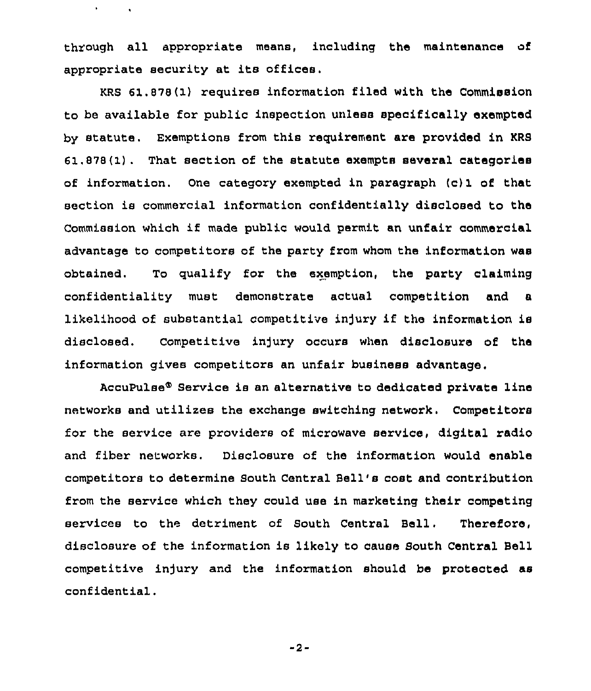through all appropriate means, including the maintenance of appropriate security at its offices.

 $\mathbf{v}$ 

 $\hat{\mathbf{v}}$ 

KRS 61.878(1) requires information filed with the Commission to be available for public inspection unless specifically exempted by statute. Exemptions from this requirement are provided in KRS 61.878(1). That section of the statute exempts several categories of information. one category exempted in paragraph (c)1 of that section ie commercial information confidentially disclosed to the Commission which if made public would permit an unfair commercial advantage to competitors of the party from whom the information was obtained. To qualify for the exemption, the party claiming confidentiality must demonstrate actual competition and a likelihood of substantial competitive injury if the information is disclosed. Competitive in)ury occurs when disclosure of the information gives competitors an unfair business advantage.

AccuPulse® Service is an alternative to dedicated private line networks and utilizes the exchange switching network. Competitors for the service are providers of microwave service, digital radio and fiber networks. Disclosure of the information would enable competitors to determine South Central Bell's cost and contribution from the service which they could use in marketing their competing services to the detriment of South Central Bell. Therefore, disclosure of the information is likely to cause South Central Bell competitive injury and the information should be protected as confidential.

-2-